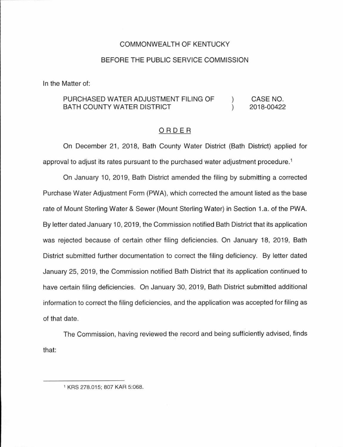#### COMMONWEALTH OF KENTUCKY

#### BEFORE THE PUBLIC SERVICE COMMISSION

In the Matter of:

#### PURCHASED WATER ADJUSTMENT FILING OF CASE NO.  $\lambda$ BATH COUNTY WATER DISTRICT  $\lambda$ 2018-00422

#### ORDER

On December 21, 2018, Bath County Water District (Bath District) applied for approval to adjust its rates pursuant to the purchased water adjustment procedure. 1

On January 10, 2019, Bath District amended the filing by submitting a corrected Purchase Water Adjustment Form (PWA), which corrected the amount listed as the base rate of Mount Sterling Water & Sewer (Mount Sterling Water) in Section 1.a. of the PWA. By letter dated January 10, 2019, the Commission notified Bath District that its application was rejected because of certain other filing deficiencies. On January 18, 2019, Bath District submitted further documentation to correct the filing deficiency. By letter dated January 25, 2019, the Commission notified Bath District that its application continued to have certain filing deficiencies. On January 30, 2019, Bath District submitted additional information to correct the filing deficiencies, and the application was accepted for filing as of that date.

The Commission, having reviewed the record and being sufficiently advised, finds that:

<sup>1</sup> KRS 278.015; 807 KAR 5:068.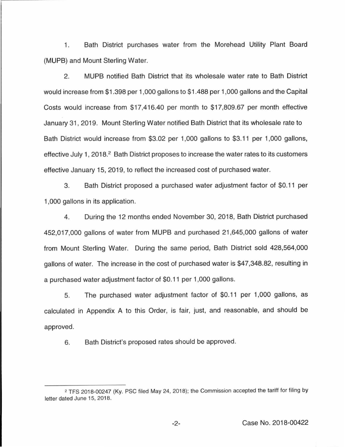1. Bath District purchases water from the Morehead Utility Plant Board (MUPB) and Mount Sterling Water.

2. MUPB notified Bath District that its wholesale water rate to Bath District would increase from \$1.398 per 1,000 gallons to \$1.488 per 1,000 gallons and the Capital Costs would increase from \$17,416.40 per month to \$17,809.67 per month effective January 31 , 2019. Mount Sterling Water notified Bath District that its wholesale rate to Bath District would increase from \$3.02 per 1,000 gallons to \$3.11 per 1 ,000 gallons, effective July 1, 2018.<sup>2</sup> Bath District proposes to increase the water rates to its customers effective January 15, 2019, to reflect the increased cost of purchased water.

3. Bath District proposed a purchased water adjustment factor of \$0.11 per 1,000 gallons in its application.

4. During the 12 months ended November 30, 2018, Bath District purchased 452,017,000 gallons of water from MUPB and purchased 21 ,645,000 gallons of water from Mount Sterling Water. During the same period, Bath District sold 428,564,000 gallons of water. The increase in the cost of purchased water is \$47,348.82, resulting in a purchased water adjustment factor of \$0.11 per 1,000 gallons.

5. The purchased water adjustment factor of \$0.11 per 1,000 gallons, as calculated in Appendix A to this Order, is fair, just, and reasonable, and should be approved.

6. Bath District's proposed rates should be approved.

<sup>2</sup> TFS 2018-00247 (Ky. PSC filed May 24, 2018); the Commission accepted the tariff for filing by letter dated June 15, 2018.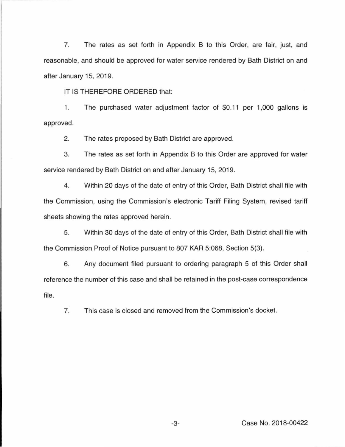7. The rates as set forth in Appendix B to this Order, are fair, just, and reasonable, and should be approved for water service rendered by Bath District on and after January 15, 2019.

IT IS THEREFORE ORDERED that:

1. The purchased water adjustment factor of \$0.11 per 1,000 gallons is approved.

2. The rates proposed by Bath District are approved.

3. The rates as set forth in Appendix B to this Order are approved for water service rendered by Bath District on and after January 15, 2019.

4. Within 20 days of the date of entry of this Order, Bath District shall file with the Commission, using the Commission's electronic Tariff Filing System, revised tariff sheets showing the rates approved herein.

5. Within 30 days of the date of entry of this Order, Bath District shall file with the Commission Proof of Notice pursuant to 807 KAR 5:068, Section 5(3).

6. Any document filed pursuant to ordering paragraph 5 of this Order shall reference the number of this case and shall be retained in the post-case correspondence file.

7. This case is closed and removed from the Commission's docket.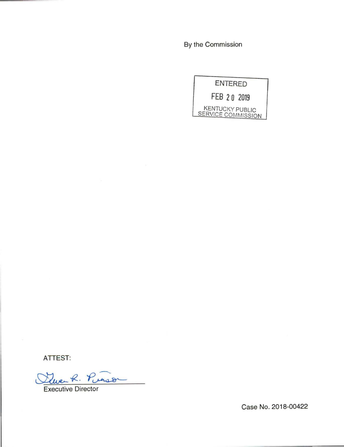By the Commission



ATTEST:

Tue R. Punson

Case No. 2018-00422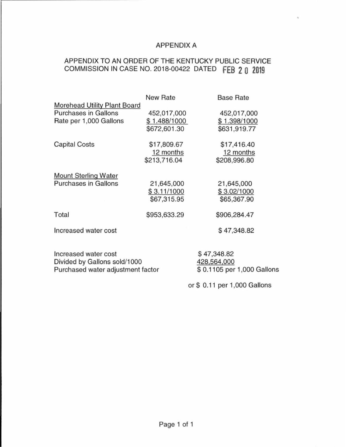# APPENDIX A

# APPENDIX TO AN QRDER OF THE KENTUCKY PUBLIC SERVICE COMMISSION IN CASE NO. 2018-00422 DATED **fEB 2 0 2019**

|                                                                                              | <b>New Rate</b>                             | <b>Base Rate</b>                                          |
|----------------------------------------------------------------------------------------------|---------------------------------------------|-----------------------------------------------------------|
| <b>Morehead Utility Plant Board</b><br><b>Purchases in Gallons</b><br>Rate per 1,000 Gallons | 452,017,000<br>\$1.488/1000<br>\$672,601.30 | 452,017,000<br>\$1.398/1000<br>\$631,919.77               |
| <b>Capital Costs</b>                                                                         | \$17,809.67<br>12 months<br>\$213,716.04    | \$17,416.40<br>12 months<br>\$208,996.80                  |
| <b>Mount Sterling Water</b><br><b>Purchases in Gallons</b>                                   | 21,645,000<br>\$3.11/1000<br>\$67,315.95    | 21,645,000<br>\$3.02/1000<br>\$65,367.90                  |
| Total                                                                                        | \$953,633.29                                | \$906,284.47                                              |
| Increased water cost                                                                         |                                             | \$47,348.82                                               |
| Increased water cost<br>Divided by Gallons sold/1000<br>Purchased water adjustment factor    |                                             | \$47,348.82<br>428,564,000<br>\$ 0.1105 per 1,000 Gallons |
|                                                                                              |                                             | or \$ 0.11 per 1,000 Gallons                              |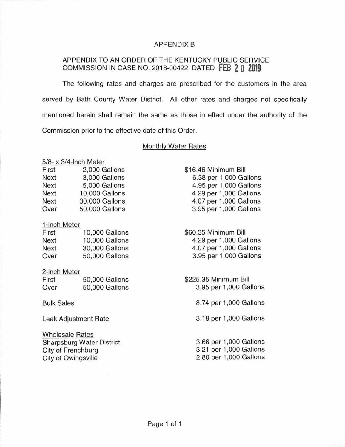# APPENDIX B

# APPENDIX TO AN ORDER OF THE KENTUCKY PUBLIC SERVICE COMMISSION IN CASE NO. 2018-00422 DATED **FEB 2 0 2019**

The following rates and charges are prescribed for the customers in the area served by Bath County Water District. All other rates and charges not specifically mentioned herein shall remain the same as those in effect under the authority of the Commission prior to the effective date of this Order.

#### Monthly Water Rates

# 5/8- x 3/4-lnch Meter

| First       | 2,000 Gallons  |
|-------------|----------------|
| <b>Next</b> | 3.000 Gallons  |
| Next        | 5,000 Gallons  |
| Next        | 10,000 Gallons |
| <b>Next</b> | 30,000 Gallons |
| Over        | 50,000 Gallons |

### 1-lnch Meter

| 10,000 Gallons |
|----------------|
| 10,000 Gallons |
| 30,000 Gallons |
| 50,000 Gallons |
|                |

#### 2-lnch Meter

| First | 50,000 Gallons |
|-------|----------------|
| Over  | 50,000 Gallons |

# Bulk Sales

Leak Adjustment Rate

Wholesale Rates Sharpsburg Water District City of Frenchburg City of Owingsville

\$16.46 Minimum Bill 6.38 per 1,000 Gallons 4.95 per 1,000 Gallons 4.29 per 1,000 Gallons 4.07 per 1,000 Gallons 3.95 per 1,000 Gallons

\$60.35 Minimum Bill 4.29 per 1,000 Gallons 4.07 per 1,000 Gallons 3.95 per 1,000 Gallons

\$225.35 Minimum Bill 3.95 per 1,000 Gallons

8.74 per 1,000 Gallons

3.18 per 1 ,000 Gallons

3.66 per 1,000 Gallons 3.21 per 1,000 Gallons 2.80 per 1,000 Gallons